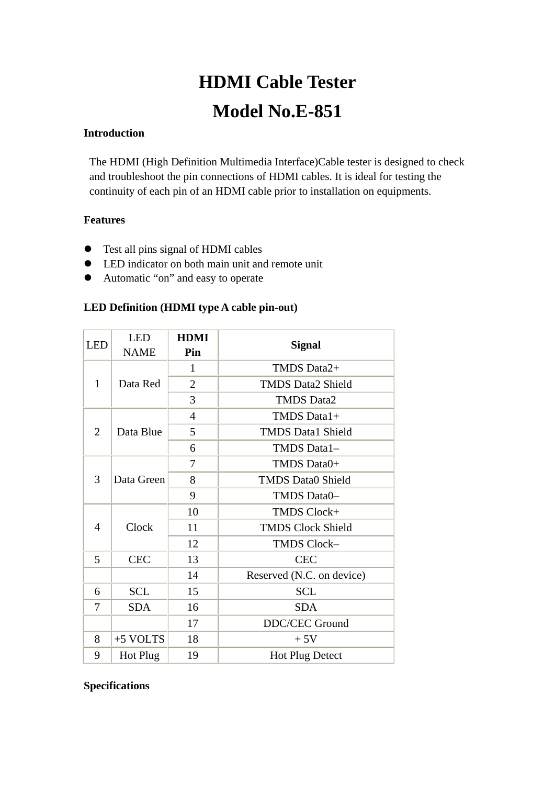# **HDMI Cable Tester Model No.E-851**

### **Introduction**

The HDMI (High Definition Multimedia Interface)Cable tester is designed to check and troubleshoot the pin connections of HDMI cables. It is ideal for testing the continuity of each pin of an HDMI cable prior to installation on equipments.

## **Features**

- Test all pins signal of HDMI cables
- LED indicator on both main unit and remote unit
- Automatic "on" and easy to operate

### **LED Definition (HDMI type A cable pin-out)**

| <b>LED</b>     | <b>LED</b>  | <b>HDMI</b>    | <b>Signal</b>             |
|----------------|-------------|----------------|---------------------------|
|                | <b>NAME</b> | Pin            |                           |
| 1              | Data Red    | $\mathbf{1}$   | TMDS Data2+               |
|                |             | $\overline{2}$ | <b>TMDS Data2 Shield</b>  |
|                |             | 3              | <b>TMDS Data2</b>         |
| $\overline{2}$ | Data Blue   | $\overline{4}$ | TMDS Data1+               |
|                |             | 5              | <b>TMDS Data1 Shield</b>  |
|                |             | 6              | TMDS Data1-               |
| 3              | Data Green  | 7              | TMDS Data0+               |
|                |             | 8              | <b>TMDS Data0 Shield</b>  |
|                |             | 9              | TMDS Data0-               |
| 4              | Clock       | 10             | TMDS Clock+               |
|                |             | 11             | <b>TMDS Clock Shield</b>  |
|                |             | 12             | TMDS Clock-               |
| 5              | <b>CEC</b>  | 13             | <b>CEC</b>                |
|                |             | 14             | Reserved (N.C. on device) |
| 6              | <b>SCL</b>  | 15             | <b>SCL</b>                |
| 7              | <b>SDA</b>  | 16             | <b>SDA</b>                |
|                |             | 17             | <b>DDC/CEC Ground</b>     |
| 8              | $+5$ VOLTS  | 18             | $+5V$                     |
| 9              | Hot Plug    | 19             | <b>Hot Plug Detect</b>    |

#### **Specifications**